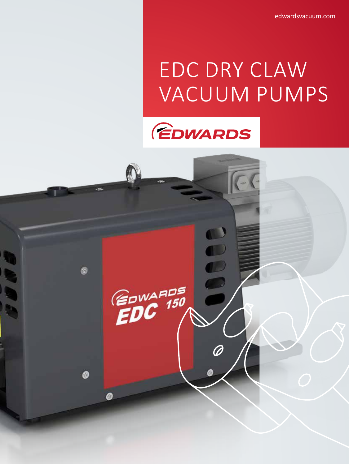edwardsvacuum.com

# EDC DRY CLAW VACUUM PUMPS



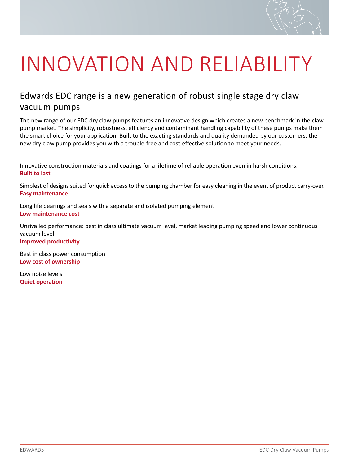

# INNOVATION AND RELIABILITY

### Edwards EDC range is a new generation of robust single stage dry claw vacuum pumps

The new range of our EDC dry claw pumps features an innovative design which creates a new benchmark in the claw pump market. The simplicity, robustness, efficiency and contaminant handling capability of these pumps make them the smart choice for your application. Built to the exacting standards and quality demanded by our customers, the new dry claw pump provides you with a trouble-free and cost-effective solution to meet your needs.

Innovative construction materials and coatings for a lifetime of reliable operation even in harsh conditions. **Built to last**

Simplest of designs suited for quick access to the pumping chamber for easy cleaning in the event of product carry-over. **Easy maintenance**

Long life bearings and seals with a separate and isolated pumping element **Low maintenance cost**

Unrivalled performance: best in class ultimate vacuum level, market leading pumping speed and lower continuous vacuum level **Improved productivity**

Best in class power consumption **Low cost of ownership**

Low noise levels **Quiet operation**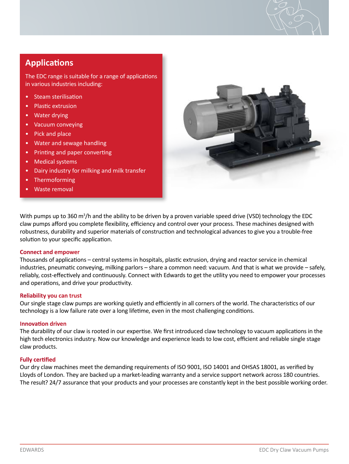#### **Applications**

The EDC range is suitable for a range of applications in various industries including:

- Steam sterilisation
- Plastic extrusion
- Water drying
- Vacuum conveying
- Pick and place
- Water and sewage handling
- Printing and paper converting
- Medical systems
- Dairy industry for milking and milk transfer
- **Thermoforming**
- Waste removal



With pumps up to 360 m<sup>3</sup>/h and the ability to be driven by a proven variable speed drive (VSD) technology the EDC claw pumps afford you complete flexibility, efficiency and control over your process. These machines designed with robustness, durability and superior materials of construction and technological advances to give you a trouble-free solution to your specific application.

#### **Connect and empower**

Thousands of applications – central systems in hospitals, plastic extrusion, drying and reactor service in chemical industries, pneumatic conveying, milking parlors – share a common need: vacuum. And that is what we provide – safely, reliably, cost-effectively and continuously. Connect with Edwards to get the utility you need to empower your processes and operations, and drive your productivity.

#### **Reliability you can trust**

Our single stage claw pumps are working quietly and efficiently in all corners of the world. The characteristics of our technology is a low failure rate over a long lifetime, even in the most challenging conditions.

#### **Innovation driven**

The durability of our claw is rooted in our expertise. We first introduced claw technology to vacuum applications in the high tech electronics industry. Now our knowledge and experience leads to low cost, efficient and reliable single stage claw products.

#### **Fully certified**

Our dry claw machines meet the demanding requirements of ISO 9001, ISO 14001 and OHSAS 18001, as verified by Lloyds of London. They are backed up a market-leading warranty and a service support network across 180 countries. The result? 24/7 assurance that your products and your processes are constantly kept in the best possible working order.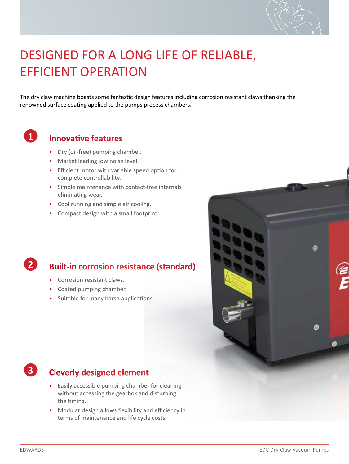

## DESIGNED FOR A LONG LIFE OF RELIABLE, EFFICIENT OPERATION

The dry claw machine boasts some fantastic design features including corrosion resistant claws thanking the renowned surface coating applied to the pumps process chambers.

### **1**

#### **Innovative features**

- Dry (oil-free) pumping chamber.
- Market leading low noise level.
- Efficient motor with variable speed option for complete controllability.
- Simple maintenance with contact-free internals eliminating wear.
- Cool running and simple air cooling.
- Compact design with a small footprint.

### **Built-in corrosion resistance (standard)**

- Corrosion resistant claws.
- Coated pumping chamber.
- Suitable for many harsh applications.





**2**

### **Cleverly designed element**

- Easily accessible pumping chamber for cleaning without accessing the gearbox and disturbing the timing.
- Modular design allows flexibility and efficiency in terms of maintenance and life cycle costs.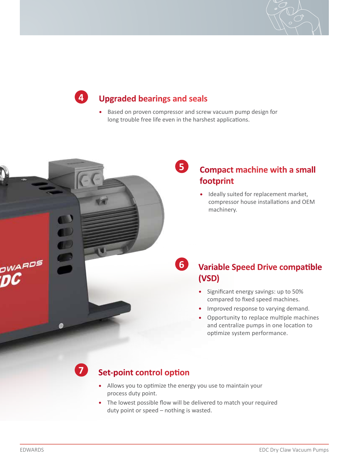

### **Upgraded bearings and seals**

- Based on proven compressor and screw vacuum pump design for long trouble free life even in the harshest applications.
	- **5**

**6**

### **Compact machine with a small footprint**

• Ideally suited for replacement market, compressor house installations and OEM machinery.

- **Variable Speed Drive compatible (VSD)**
	- Significant energy savings: up to 50% compared to fixed speed machines.
	- Improved response to varying demand.
	- Opportunity to replace multiple machines and centralize pumps in one location to optimize system performance.

### **7**

**4**

#### **Set-point control option**

- Allows you to optimize the energy you use to maintain your process duty point.
- The lowest possible flow will be delivered to match your required duty point or speed – nothing is wasted.

**DWARDS**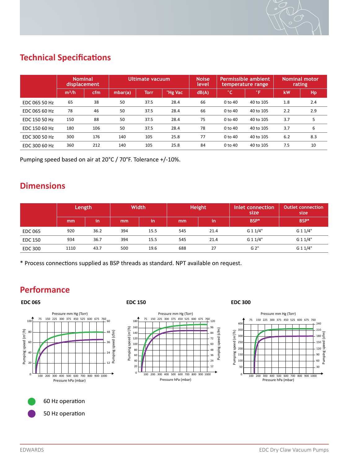

### **Technical Specifications**

|               | <b>Nominal</b><br>displacement |     | Ultimate vacuum |             |         | <b>Noise</b><br>level | Permissible ambient<br>temperature range |           | <b>Nominal motor</b><br>rating |     |
|---------------|--------------------------------|-----|-----------------|-------------|---------|-----------------------|------------------------------------------|-----------|--------------------------------|-----|
|               | m <sup>3</sup> /h              | cfm | mbar(a)         | <b>Torr</b> | "Hg Vac | dB(A)                 | °C'                                      | °F.       | kW                             | Hp  |
| EDC 065 50 Hz | 65                             | 38  | 50              | 37.5        | 28.4    | 66                    | 0 to 40                                  | 40 to 105 | 1.8                            | 2.4 |
| EDC 065 60 Hz | 78                             | 46  | 50              | 37.5        | 28.4    | 66                    | 0 to 40                                  | 40 to 105 | 2.2                            | 2.9 |
| EDC 150 50 Hz | 150                            | 88  | 50              | 37.5        | 28.4    | 75                    | $0$ to $40$                              | 40 to 105 | 3.7                            | 5   |
| EDC 150 60 Hz | 180                            | 106 | 50              | 37.5        | 28.4    | 78                    | 0 to 40                                  | 40 to 105 | 3.7                            | 6   |
| EDC 300 50 Hz | 300                            | 176 | 140             | 105         | 25.8    | 77                    | 0 to 40                                  | 40 to 105 | 6.2                            | 8.3 |
| EDC 300 60 Hz | 360                            | 212 | 140             | 105         | 25.8    | 84                    | 0 to 40                                  | 40 to 105 | 7.5                            | 10  |

Pumping speed based on air at 20°C / 70°F. Tolerance +/-10%.

#### **Dimensions**

|                | Length |      | Width |      |     | Height | Inlet connection<br>size | <b>Outlet connection</b><br>size |
|----------------|--------|------|-------|------|-----|--------|--------------------------|----------------------------------|
|                | mm     | in   | mm    | in   | mm  | in     | BSP*                     | BSP*                             |
| <b>EDC 065</b> | 920    | 36.2 | 394   | 15.5 | 545 | 21.4   | G 1 1/4"                 | G 1 1/4"                         |
| <b>EDC 150</b> | 934    | 36.7 | 394   | 15.5 | 545 | 21.4   | G 1 1/4"                 | G 1 1/4"                         |
| <b>EDC 300</b> | 1110   | 43.7 | 500   | 19.6 | 688 | 27     | G 2"                     | G 1 1/4"                         |

\* Process connections supplied as BSP threads as standard. NPT available on request.

#### **Performance**

#### **EDC 065 EDC 150**





#### **EDC 300**



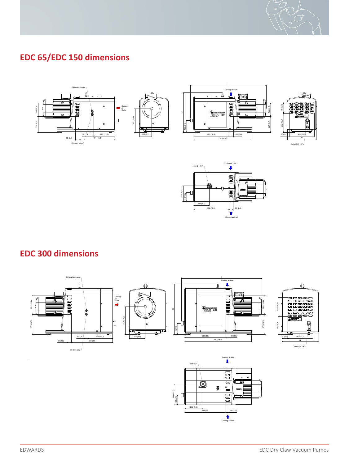

#### **EDC 65/EDC 150 dimensions** All ma et r aisl suppl ei d are ni compl aince wi htht e requirements of ht e L si t of Proh bi i et d Subs atnces









#### **EDC 300 dimensions** 1 2 3 4 5 6 7 8 9 7 8 9 7 8 9 7 8 9 7 8 9 7 8 9 7 8 9 7 8 9 7 8 9 7 8 9 7 8 9 7 8 9 7 8 9 7 8 9 7 8 9 7 8 9 7 8 9 7 8 9 7 8 9 7 8 9 7 8 9 7 8 9 7 8 9 7 8 9 7 8 9 7 8 9 7 8 9 7 8 9 7 8 9 7 8 9 7 8 9 7 8 CONF DIE cop ei d, used of r manu af c ut r nig or commun cia et d ot any o hter person or communication af c ut r nig o<br>Commun cia et d ot any o hter person or communication af c ut r nig or communication af c ut r nig or company